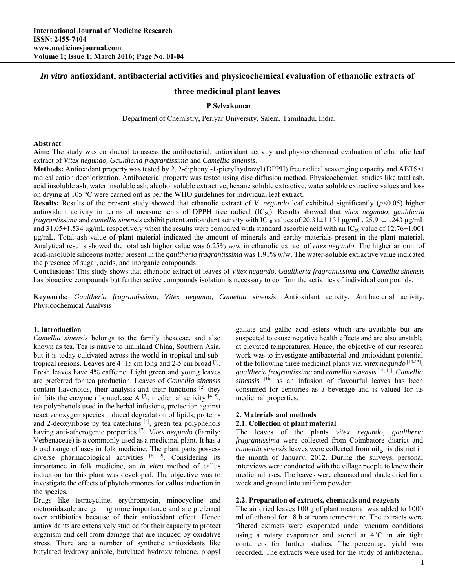# *In vitro* **antioxidant, antibacterial activities and physicochemical evaluation of ethanolic extracts of**

# **three medicinal plant leaves**

## **P Selvakumar**

Department of Chemistry, Periyar University, Salem, Tamilnadu, India.

### **Abstract**

**Aim:** The study was conducted to assess the antibacterial, antioxidant activity and physicochemical evaluation of ethanolic leaf extract of *Vitex negundo, Gaultheria fragrantissima* and *Camellia sinensis*.

**Methods:** Antioxidant property was tested by 2, 2-diphenyl-1-picrylhydrazyl (DPPH) free radical scavenging capacity and ABTS•+ radical cation decolorization. Antibacterial property was tested using disc diffusion method. Physicochemical studies like total ash, acid insoluble ash, water insoluble ash, alcohol soluble extractive, hexane soluble extractive, water soluble extractive values and loss on drying at 105 °C were carried out as per the WHO guidelines for individual leaf extract.

**Results:** Results of the present study showed that ethanolic extract of *V. negundo* leaf exhibited significantly (*p*<0.05) higher antioxidant activity in terms of measurements of DPPH free radical (IC50). Results showed that *vitex negundo, gaultheria fragrantissima* and *camellia sinensis* exhibit potent antioxidant activity with IC50 values of 20.31±1.131 μg/mL, 25.91±1.243 μg/mL and  $31.05\pm1.534$  µg/mL respectively when the results were compared with standard ascorbic acid with an IC<sub>50</sub> value of 12.76 $\pm1.001$ μg/mL. Total ash value of plant material indicated the amount of minerals and earthy materials present in the plant material. Analytical results showed the total ash higher value was 6.25% w/w in ethanolic extract of *vitex negundo*. The higher amount of acid-insoluble siliceous matter present in the *gaultheria fragrantissima* was 1.91% w/w. The water-soluble extractive value indicated the presence of sugar, acids, and inorganic compounds.

**Conclusions:** This study shows that ethanolic extract of leaves of *Vitex negundo, Gaultheria fragrantissima and Camellia sinensis*  has bioactive compounds but further active compounds isolation is necessary to confirm the activities of individual compounds.

**Keywords:** *Gaultheria fragrantissima*, *Vitex negundo, Camellia sinensis*, Antioxidant activity, Antibacterial activity, Physicochemical Analysis

### **1. Introduction**

*Camellia sinensis* belongs to the family theaceae, and also known as tea. Tea is native to mainland China, Southern Asia, but it is today cultivated across the world in tropical and subtropical regions. Leaves are  $4-15$  cm long and  $2-5$  cm broad  $^{[1]}$ . Fresh leaves have 4% caffeine. Light green and young leaves are preferred for tea production. Leaves of *Camellia sinensis* contain flavonoids, their analysis and their functions [2] they inhibits the enzyme ribonuclease  $A^{[3]}$ , medicinal activity  $[4, 5]$ , tea polyphenols used in the herbal infusions, protection against reactive oxygen species induced degradation of lipids, proteins and 2-deoxyribose by tea catechins [6], green tea polyphenols having anti-atherogenic properties [7]. *Vitex negundo* (Family: Verbenaceae) is a commonly used as a medicinal plant. It has a broad range of uses in folk medicine. The plant parts possess diverse pharmacological activities [8, 9]. Considering its importance in folk medicine, an *in vitro* method of callus induction for this plant was developed. The objective was to investigate the effects of phytohormones for callus induction in the species.

Drugs like tetracycline, erythromycin, minocycline and metronidazole are gaining more importance and are preferred over antibiotics because of their antioxidant effect. Hence antioxidants are extensively studied for their capacity to protect organism and cell from damage that are induced by oxidative stress. There are a number of synthetic antioxidants like butylated hydroxy anisole, butylated hydroxy toluene, propyl

gallate and gallic acid esters which are available but are suspected to cause negative health effects and are also unstable at elevated temperatures. Hence, the objective of our research work was to investigate antibacterial and antioxidant potential of the following three medicinal plants viz, *vitex negundo* [10-13], *gaultheria fragrantissima* and *camellia sinensis*[14, 15]. *Camellia sinensis* [16] as an infusion of flavourful leaves has been consumed for centuries as a beverage and is valued for its medicinal properties.

### **2. Materials and methods**

#### **2.1. Collection of plant material**

The leaves of the plants *vitex negundo, gaultheria fragrantissima* were collected from Coimbatore district and *camellia sinensis* leaves were collected from nilgiris district in the month of January, 2012. During the surveys, personal interviews were conducted with the village people to know their medicinal uses. The leaves were cleansed and shade dried for a week and ground into uniform powder.

### **2.2. Preparation of extracts, chemicals and reagents**

The air dried leaves 100 g of plant material was added to 1000 ml of ethanol for 18 h at room temperature. The extracts were filtered extracts were evaporated under vacuum conditions using a rotary evaporator and stored at 4°C in air tight containers for further studies. The percentage yield was recorded. The extracts were used for the study of antibacterial,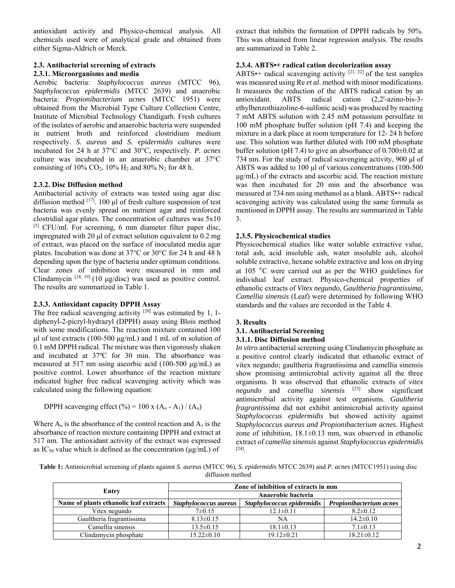antioxidant activity and Physico-chemical analysis. All chemicals used were of analytical grade and obtained from either Sigma-Aldrich or Merck.

## **2.3. Antibacterial screening of extracts 2.3.1. Microorganisms and media**

Aerobic bacteria: *Staphylococcus aureus* (MTCC 96), *Staphylococcus epidermidis* (MTCC 2639) and anaerobic bacteria: *Propionibacterium acnes* (MTCC 1951) were obtained from the Microbial Type Culture Collection Centre, Institute of Microbial Technology Chandigarh. Fresh cultures of the isolates of aerobic and anaerobic bacteria were suspended in nutrient broth and reinforced clostridium medium respectively. *S. aureus* and *S. epidermidis* cultures were incubated for 24 h at 37°C and 30°C, respectively. *P. acnes*  culture was incubated in an anaerobic chamber at 37°C consisting of  $10\%$  CO<sub>2</sub>,  $10\%$  H<sub>2</sub> and  $80\%$  N<sub>2</sub> for 48 h.

## **2.3.2. Disc Diffusion method**

Antibacterial activity of extracts was tested using agar disc diffusion method [17]. 100 μl of fresh culture suspension of test bacteria was evenly spread on nutrient agar and reinforced clostridial agar plates. The concentration of cultures was 5x10  $[5]$  CFU/ml. For screening, 6 mm diameter filter paper disc, impregnated with 20 μl of extract solution equivalent to 0.2 mg of extract, was placed on the surface of inoculated media agar plates. Incubation was done at 37°C or 30°C for 24 h and 48 h depending upon the type of bacteria under optimum conditions. Clear zones of inhibition were measured in mm and Clindamycin  $^{[18, 19]}$  (10  $\mu$ g/disc) was used as positive control. The results are summarized in Table 1.

# **2.3.3. Antioxidant capacity DPPH Assay**

The free radical scavenging activity  $[20]$  was estimated by 1, 1diphenyl-2-picryl-hydrazyl (DPPH) assay using Blois method with some modifications. The reaction mixture contained 100 μl of test extracts (100-500 μg/mL) and 1 mL of m solution of 0.1 mM DPPH radical. The mixture was then vigorously shaken and incubated at 37ºC for 30 min. The absorbance was measured at 517 nm using ascorbic acid (100-500 μg/mL) as positive control. Lower absorbance of the reaction mixture indicated higher free radical scavenging activity which was calculated using the following equation:

DPPH scavenging effect (%) = 100 x (A<sub>0</sub> - A<sub>1</sub>) / (A<sub>0</sub>)

Where  $A_0$  is the absorbance of the control reaction and  $A_1$  is the absorbance of reaction mixture containing DPPH and extract at 517 nm. The antioxidant activity of the extract was expressed as  $IC_{50}$  value which is defined as the concentration ( $\mu$ g/mL) of

extract that inhibits the formation of DPPH radicals by 50%. This was obtained from linear regression analysis. The results are summarized in Table 2.

# **2.3.4. ABTS•+ radical cation decolorization assay**

ABTS $\bullet$ + radical scavenging activity  $[21, 22]$  of the test samples was measured using Re *et al*. method with minor modifications. It measures the reduction of the ABTS radical cation by an antioxidant. ABTS radical cation (2,2'-azino-bis-3 ethylbenzothiazoline-6-sulfonic acid) was produced by reacting 7 mM ABTS solution with 2.45 mM potassium persulfate in 100 mM phosphate buffer solution (pH 7.4) and keeping the mixture in a dark place at room temperature for 12- 24 h before use. This solution was further diluted with 100 mM phosphate buffer solution (pH 7.4) to give an absorbance of 0.700±0.02 at 734 nm. For the study of radical scavenging activity, 900 μl of ABTS was added to 100 μl of various concentrations (100-500 μg/mL) of the extracts and ascorbic acid. The reaction mixture was then incubated for 20 min and the absorbance was measured at 734 nm using methanol as a blank. ABTS•+ radical scavenging activity was calculated using the same formula as mentioned in DPPH assay. The results are summarized in Table 3.

## **2.3.5. Physicochemical studies**

Physicochemical studies like water soluble extractive value, total ash, acid insoluble ash, water insoluble ash, alcohol soluble extractive, hexane soluble extractive and loss on drying at 105 °C were carried out as per the WHO guidelines for individual leaf extract. Physico-chemical properties of ethanolic extracts of *Vitex negundo, Gaultheria fragrantissima, Camellia sinensis* (Leaf) were determined by following WHO standards and the values are recorded in the Table 4.

# **3. Results**

# **3.1. Antibacterial Screening**

## **3.1.1. Disc Diffusion method**

*In vitro* antibacterial screening using Clindamycin phosphate as a positive control clearly indicated that ethanolic extract of vitex negundo; gaultheria fragrantissima and camellia sinensis show promising antimicrobial activity against all the three organisms. It was observed that ethanolic extracts of *vitex negundo* and *camellia sinensis* [23] show significant antimicrobial activity against test organisms. *Gaultheria fragrantissima* did not exhibit antimicrobial activity against *Staphylococcus epidermidis* but showed activity against *Staphylococcus aureus and Propionibacterium acnes.* Highest zone of inhibition,  $18.1 \pm 0.13$  mm, was observed in ethanolic extract of *camellia sinensis* against *Staphylococcus epidermidis*   $[24]$ <sub>.</sub>

**Table 1:** Antimicrobial screening of plants against *S. aureus* (MTCC 96), *S. epidermidis* MTCC 2639) and *P. acnes* (MTCC1951) using disc diffusion method

|                                        | Zone of inhibition of extracts in mm |                            |                                |  |
|----------------------------------------|--------------------------------------|----------------------------|--------------------------------|--|
| Entry                                  | Anaerobic bacteria                   |                            |                                |  |
| Name of plants ethanolic leaf extracts | Staphylococcus aureus                | Staphylococcus epidermidis | <b>Propionibacterium acnes</b> |  |
| Vitex negundo                          | $7\pm0.15$                           | $12.1 \pm 0.11$            | $8.2 \pm 0.12$                 |  |
| Gaultheria fragrantissima              | $8.13 \pm 0.15$                      | NA                         | $14.2 \pm 0.10$                |  |
| Camellia sinensis                      | $13.5 \pm 0.15$                      | $18.1 \pm 0.13$            | $7.1 \pm 0.13$                 |  |
| Clindamycin phosphate                  | $15.22 \pm 0.10$                     | $19.12 \pm 0.21$           | $18.21 \pm 0.12$               |  |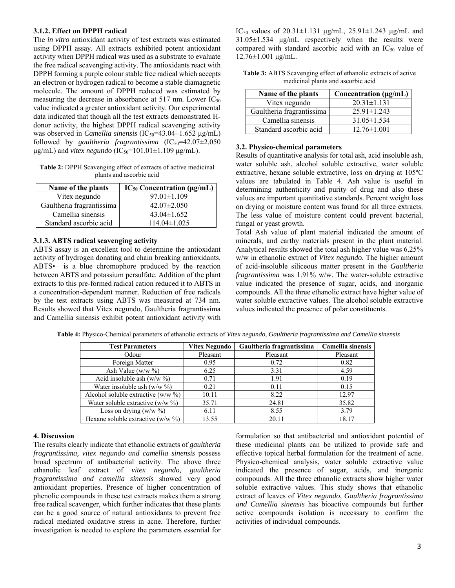### **3.1.2. Effect on DPPH radical**

The *in vitro* antioxidant activity of test extracts was estimated using DPPH assay. All extracts exhibited potent antioxidant activity when DPPH radical was used as a substrate to evaluate the free radical scavenging activity. The antioxidants react with DPPH forming a purple colour stable free radical which accepts an electron or hydrogen radical to become a stable diamagnetic molecule. The amount of DPPH reduced was estimated by measuring the decrease in absorbance at 517 nm. Lower  $IC_{50}$ value indicated a greater antioxidant activity. Our experimental data indicated that though all the test extracts demonstrated Hdonor activity, the highest DPPH radical scavenging activity was observed in *Camellia sinensis* (IC<sub>50</sub>=43.04±1.652 μg/mL) followed by *gaultheria fragrantissima*  $(IC_{50} = 42.07 \pm 2.050)$ μg/mL) and *vitex negundo* (IC<sub>50</sub>=101.01±1.109 μg/mL).

**Table 2:** DPPH Scavenging effect of extracts of active medicinal plants and ascorbic acid

| Name of the plants        | $IC_{50}$ Concentration ( $\mu$ g/mL) |  |
|---------------------------|---------------------------------------|--|
| Vitex negundo             | $97.01 \pm 1.109$                     |  |
| Gaultheria fragrantissima | $42.07 \pm 2.050$                     |  |
| Camellia sinensis         | $43.04 \pm 1.652$                     |  |
| Standard ascorbic acid    | $114.04 \pm 1.025$                    |  |

## **3.1.3. ABTS radical scavenging activity**

ABTS assay is an excellent tool to determine the antioxidant activity of hydrogen donating and chain breaking antioxidants. ABTS•+ is a blue chromophore produced by the reaction between ABTS and potassium persulfate. Addition of the plant extracts to this pre-formed radical cation reduced it to ABTS in a concentration-dependent manner. Reduction of free radicals by the test extracts using ABTS was measured at 734 nm. Results showed that Vitex negundo, Gaultheria fragrantissima and Camellia sinensis exhibit potent antioxidant activity with IC<sub>50</sub> values of 20.31±1.131 μg/mL, 25.91±1.243 μg/mL and 31.05±1.534 μg/mL respectively when the results were compared with standard ascorbic acid with an IC<sub>50</sub> value of 12.76±1.001 μg/mL.

| <b>Table 3:</b> ABTS Scavenging effect of ethanolic extracts of active |
|------------------------------------------------------------------------|
| medicinal plants and ascorbic acid                                     |

| Name of the plants        | Concentration $(\mu g/mL)$ |  |  |
|---------------------------|----------------------------|--|--|
| Vitex negundo             | $20.31 \pm 1.131$          |  |  |
| Gaultheria fragrantissima | $25.91 \pm 1.243$          |  |  |
| Camellia sinensis         | $31.05 \pm 1.534$          |  |  |
| Standard ascorbic acid    | $12.76 \pm 1.001$          |  |  |

## **3.2. Physico-chemical parameters**

Results of quantitative analysis for total ash, acid insoluble ash, water soluble ash, alcohol soluble extractive, water soluble extractive, hexane soluble extractive, loss on drying at 105ºC values are tabulated in Table 4. Ash value is useful in determining authenticity and purity of drug and also these values are important quantitative standards. Percent weight loss on drying or moisture content was found for all three extracts. The less value of moisture content could prevent bacterial, fungal or yeast growth.

Total Ash value of plant material indicated the amount of minerals, and earthy materials present in the plant material. Analytical results showed the total ash higher value was 6.25% w/w in ethanolic extract of *Vitex negundo*. The higher amount of acid-insoluble siliceous matter present in the *Gaultheria fragrantissima* was 1.91% w/w. The water-soluble extractive value indicated the presence of sugar, acids, and inorganic compounds. All the three ethanolic extract have higher value of water soluble extractive values. The alcohol soluble extractive values indicated the presence of polar constituents.

| <b>Test Parameters</b>                | <b>Vitex Negundo</b> | Gaultheria fragrantissima | Camellia sinensis |
|---------------------------------------|----------------------|---------------------------|-------------------|
| Odour                                 | Pleasant             | Pleasant                  | Pleasant          |
| Foreign Matter                        | 0.95                 | 0.72                      | 0.82              |
| Ash Value ( $w/w \%$                  | 6.25                 | 3.31                      | 4.59              |
| Acid insoluble ash $(w/w \%)$         | 0.71                 | 1.91                      | 0.19              |
| Water insoluble ash (w/w $\%$ )       | 0.21                 | 0.11                      | 0.15              |
| Alcohol soluble extractive $(w/w \%)$ | 10.11                | 8.22                      | 12.97             |
| Water soluble extractive $(w/w \%)$   | 35.71                | 24.81                     | 35.82             |
| Loss on drying $(w/w \%)$             | 6.11                 | 8.55                      | 3.79              |
| Hexane soluble extractive $(w/w \%)$  | 13.55                | 20.11                     | 18.17             |

**Table 4:** Physico-Chemical parameters of ethanolic extracts of *Vitex negundo, Gaultheria fragrantissima and Camellia sinensis* 

### **4. Discussion**

The results clearly indicate that ethanolic extracts of *gaultheria fragrantissima, vitex negundo and camellia sinensis* possess broad spectrum of antibacterial activity. The above three ethanolic leaf extract of *vitex negundo, gaultheria fragrantissima and camellia sinensis* showed very good antioxidant properties. Presence of higher concentration of phenolic compounds in these test extracts makes them a strong free radical scavenger, which further indicates that these plants can be a good source of natural antioxidants to prevent free radical mediated oxidative stress in acne. Therefore, further investigation is needed to explore the parameters essential for

formulation so that antibacterial and antioxidant potential of these medicinal plants can be utilized to provide safe and effective topical herbal formulation for the treatment of acne. Physico-chemical analysis, water soluble extractive value indicated the presence of sugar, acids, and inorganic compounds. All the three ethanolic extracts show higher water soluble extractive values. This study shows that ethanolic extract of leaves of *Vitex negundo, Gaultheria fragrantissima and Camellia sinensis* has bioactive compounds but further active compounds isolation is necessary to confirm the activities of individual compounds.